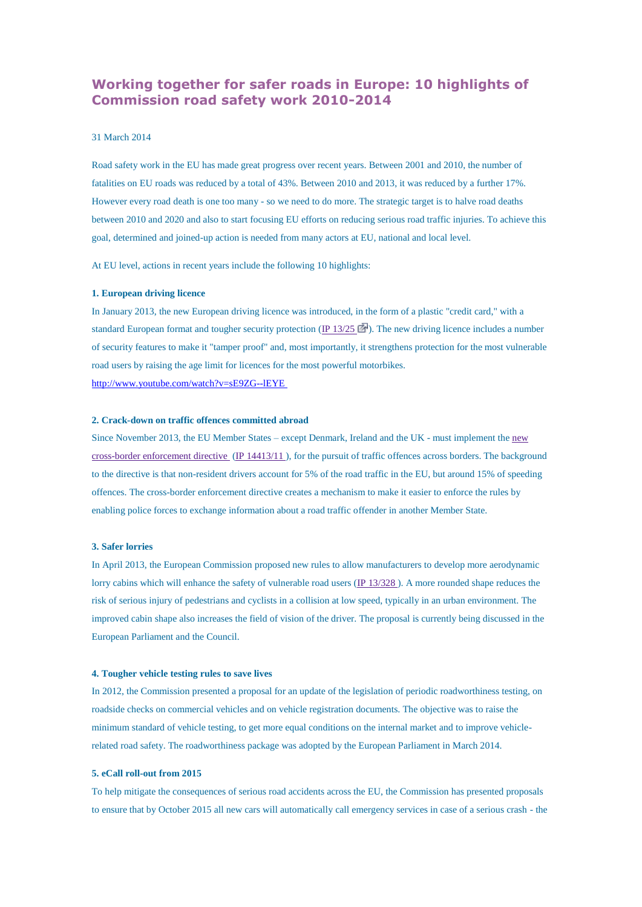# **Working together for safer roads in Europe: 10 highlights of Commission road safety work 2010-2014**

# 31 March 2014

Road safety work in the EU has made great progress over recent years. Between 2001 and 2010, the number of fatalities on EU roads was reduced by a total of 43%. Between 2010 and 2013, it was reduced by a further 17%. However every road death is one too many - so we need to do more. The strategic target is to halve road deaths between 2010 and 2020 and also to start focusing EU efforts on reducing serious road traffic injuries. To achieve this goal, determined and joined-up action is needed from many actors at EU, national and local level.

At EU level, actions in recent years include the following 10 highlights:

### **1. European driving licence**

In January 2013, the new European driving licence was introduced, in the form of a plastic "credit card," with a standard European format and tougher security protection (IP [13/25](http://europa.eu/rapid/press-release_IP-13-25_en.htm)  $\Box$ ). The new driving licence includes a number of security features to make it "tamper proof" and, most importantly, it strengthens protection for the most vulnerable road users by raising the age limit for licences for the most powerful motorbikes. [http://www.youtube.com/watch?v=sE9ZG--lEYE](http://www.youtube.com/watch?v=sE9ZG--lEYE )

#### **2. Crack-down on traffic offences committed abroad**

Since November 2013, the EU Member States – except Denmark, Ireland and the UK - must implement the [new](http://ec.europa.eu/transport/newsletters/2013/11-08/articles/cbe_memo_en.htm) [cross-border](http://ec.europa.eu/transport/newsletters/2013/11-08/articles/cbe_memo_en.htm) enforcement directive (IP [14413/11](http://europa.eu/rapid/press-release_PRES-11-316_en.htm) ), for the pursuit of traffic offences across borders. The background to the directive is that non-resident drivers account for 5% of the road traffic in the EU, but around 15% of speeding offences. The cross-border enforcement directive creates a mechanism to make it easier to enforce the rules by enabling police forces to exchange information about a road traffic offender in another Member State.

# **3. Safer lorries**

In April 2013, the European Commission proposed new rules to allow manufacturers to develop more aerodynamic lorry cabins which will enhance the safety of vulnerable road users (IP [13/328](http://europa.eu/rapid/press-release_IP-13-328_en.htm)). A more rounded shape reduces the risk of serious injury of pedestrians and cyclists in a collision at low speed, typically in an urban environment. The improved cabin shape also increases the field of vision of the driver. The proposal is currently being discussed in the European Parliament and the Council.

#### **4. Tougher vehicle testing rules to save lives**

In 2012, the Commission presented a proposal for an update of the legislation of periodic roadworthiness testing, on roadside checks on commercial vehicles and on vehicle registration documents. The objective was to raise the minimum standard of vehicle testing, to get more equal conditions on the internal market and to improve vehiclerelated road safety. The roadworthiness package was adopted by the European Parliament in March 2014.

# **5. eCall roll-out from 2015**

To help mitigate the consequences of serious road accidents across the EU, the Commission has presented proposals to ensure that by October 2015 all new cars will automatically call emergency services in case of a serious crash - the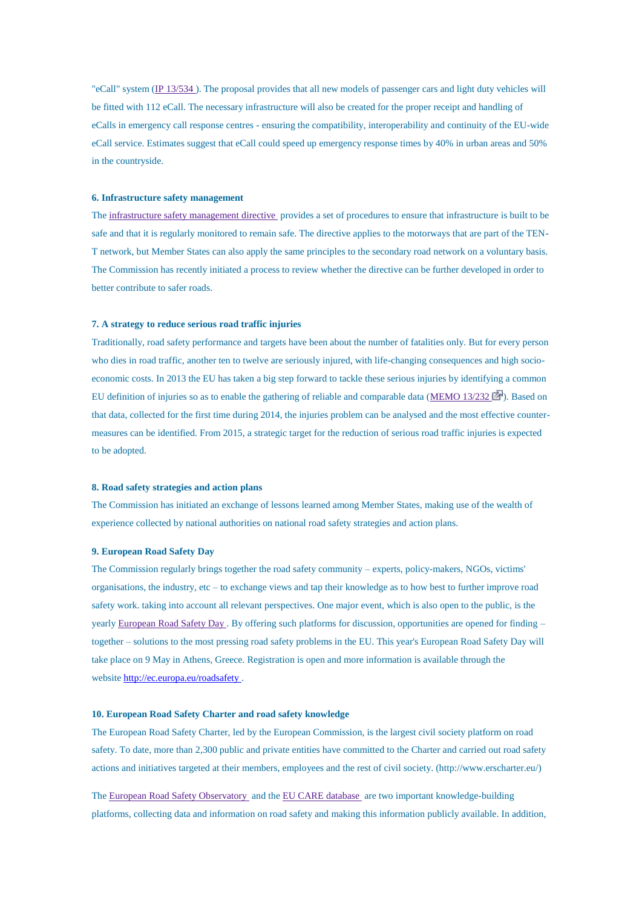"eCall" system (IP [13/534](http://europa.eu/rapid/press-release_IP-13-534_en.htm) ). The proposal provides that all new models of passenger cars and light duty vehicles will be fitted with 112 eCall. The necessary infrastructure will also be created for the proper receipt and handling of eCalls in emergency call response centres - ensuring the compatibility, interoperability and continuity of the EU-wide eCall service. Estimates suggest that eCall could speed up emergency response times by 40% in urban areas and 50% in the countryside.

# **6. Infrastructure safety management**

The [infrastructure](http://eur-lex.europa.eu/LexUriServ/LexUriServ.do?uri=CELEX:32008L0096:EN:NOT) safety management directive provides a set of procedures to ensure that infrastructure is built to be safe and that it is regularly monitored to remain safe. The directive applies to the motorways that are part of the TEN-T network, but Member States can also apply the same principles to the secondary road network on a voluntary basis. The Commission has recently initiated a process to review whether the directive can be further developed in order to better contribute to safer roads.

# **7. A strategy to reduce serious road traffic injuries**

Traditionally, road safety performance and targets have been about the number of fatalities only. But for every person who dies in road traffic, another ten to twelve are seriously injured, with life-changing consequences and high socioeconomic costs. In 2013 the EU has taken a big step forward to tackle these serious injuries by identifying a common EU definition of injuries so as to enable the gathering of reliable and comparable data [\(MEMO](http://europa.eu/rapid/press-release_MEMO-13-232_en.htm) 13/232  $\blacksquare$ ). Based on that data, collected for the first time during 2014, the injuries problem can be analysed and the most effective countermeasures can be identified. From 2015, a strategic target for the reduction of serious road traffic injuries is expected to be adopted.

#### **8. Road safety strategies and action plans**

The Commission has initiated an exchange of lessons learned among Member States, making use of the wealth of experience collected by national authorities on national road safety strategies and action plans.

# **9. European Road Safety Day**

The Commission regularly brings together the road safety community – experts, policy-makers, NGOs, victims' organisations, the industry, etc – to exchange views and tap their knowledge as to how best to further improve road safety work. taking into account all relevant perspectives. One major event, which is also open to the public, is the yearly [European](http://ec.europa.eu/transport/road_safety/events-archive/2013_05_06_ersd_en.htm) Road Safety Day . By offering such platforms for discussion, opportunities are opened for finding – together – solutions to the most pressing road safety problems in the EU. This year's European Road Safety Day will take place on 9 May in Athens, Greece. Registration is open and more information is available through the website [http://ec.europa.eu/roadsafety](http://ec.europa.eu/roadsafety ) .

# **10. European Road Safety Charter and road safety knowledge**

The European Road Safety Charter, led by the European Commission, is the largest civil society platform on road safety. To date, more than 2,300 public and private entities have committed to the Charter and carried out road safety actions and initiatives targeted at their members, employees and the rest of civil society. (http://www.erscharter.eu/)

The European Road Safety [Observatory](http://ec.europa.eu/transport/road_safety/specialist/index_en.htm) and the EU CARE [database](http://ec.europa.eu/transport/road_safety/specialist/statistics/index_en.htm) are two important knowledge-building platforms, collecting data and information on road safety and making this information publicly available. In addition,